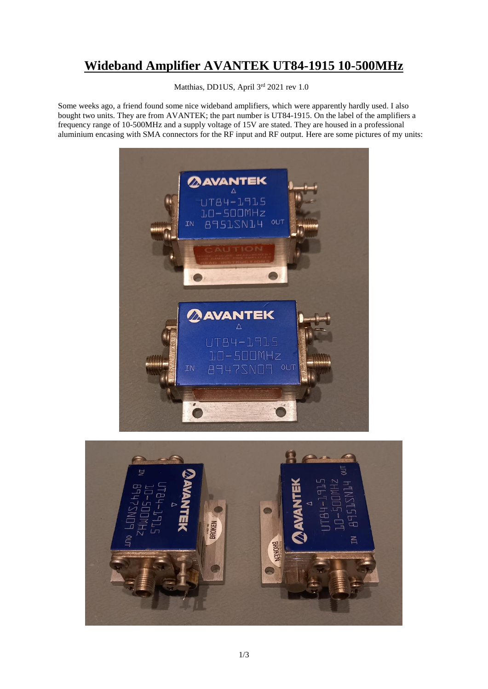## **Wideband Amplifier AVANTEK UT84-1915 10-500MHz**

Matthias, DD1US, April 3rd 2021 rev 1.0

Some weeks ago, a friend found some nice wideband amplifiers, which were apparently hardly used. I also bought two units. They are from AVANTEK; the part number is UT84-1915. On the label of the amplifiers a frequency range of 10-500MHz and a supply voltage of 15V are stated. They are housed in a professional aluminium encasing with SMA connectors for the RF input and RF output. Here are some pictures of my units:



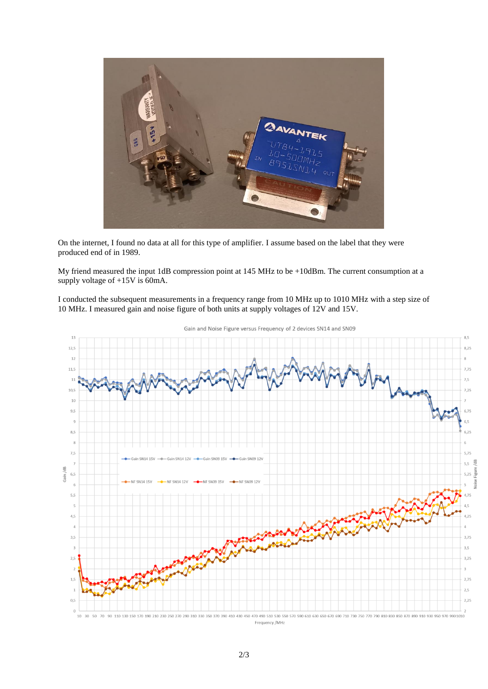

On the internet, I found no data at all for this type of amplifier. I assume based on the label that they were produced end of in 1989.

My friend measured the input 1dB compression point at 145 MHz to be +10dBm. The current consumption at a supply voltage of +15V is 60mA.

I conducted the subsequent measurements in a frequency range from 10 MHz up to 1010 MHz with a step size of 10 MHz. I measured gain and noise figure of both units at supply voltages of 12V and 15V.



Gain and Noise Figure versus Frequency of 2 devices SN14 and SN09